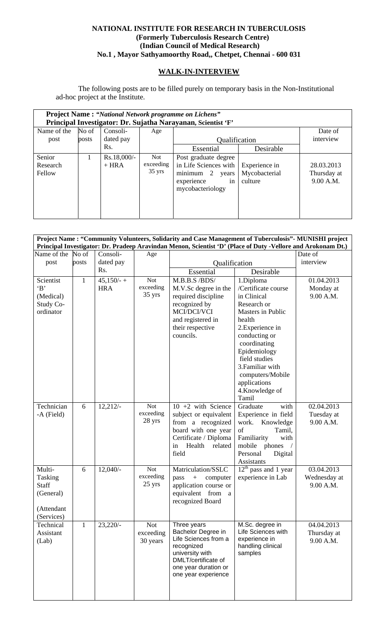## **NATIONAL INSTITUTE FOR RESEARCH IN TUBERCULOSIS (Formerly Tuberculosis Research Centre) (Indian Council of Medical Research) No.1 , Mayor Sathyamoorthy Road,, Chetpet, Chennai - 600 031**

## **WALK-IN-INTERVIEW**

The following posts are to be filled purely on temporary basis in the Non-Institutional ad-hoc project at the Institute.

| <b>Project Name: "National Network programme on Lichens"</b> |       |                          |                                             |                                                                                                                |                                           |                                        |  |  |
|--------------------------------------------------------------|-------|--------------------------|---------------------------------------------|----------------------------------------------------------------------------------------------------------------|-------------------------------------------|----------------------------------------|--|--|
| Principal Investigator: Dr. Sujatha Narayanan, Scientist 'F' |       |                          |                                             |                                                                                                                |                                           |                                        |  |  |
| Name of the                                                  | No of | Consoli-                 | Age                                         |                                                                                                                |                                           | Date of                                |  |  |
| post                                                         | posts | dated pay                |                                             | Qualification                                                                                                  |                                           | interview                              |  |  |
|                                                              |       | Rs.                      |                                             | Essential                                                                                                      | Desirable                                 |                                        |  |  |
| Senior<br>Research<br>Fellow                                 |       | $Rs.18,000/-$<br>$+ HRA$ | <b>Not</b><br>exceeding<br>$35 \text{ yrs}$ | Post graduate degree<br>in Life Sciences with<br>minimum<br>2<br>years<br>experience<br>in<br>mycobacteriology | Experience in<br>Mycobacterial<br>culture | 28.03.2013<br>Thursday at<br>9.00 A.M. |  |  |

| Project Name : "Community Volunteers, Solidarity and Case Management of Tuberculosis" - MUNISHI project<br>Principal Investigator: Dr. Pradeep Aravindan Menon, Scientist 'D' (Place of Duty -Vellore and Arokonam Dt.) |              |               |                  |                                              |                                     |              |  |
|-------------------------------------------------------------------------------------------------------------------------------------------------------------------------------------------------------------------------|--------------|---------------|------------------|----------------------------------------------|-------------------------------------|--------------|--|
| Name of the                                                                                                                                                                                                             | No of        | Consoli-      | Age              |                                              |                                     | Date of      |  |
| post                                                                                                                                                                                                                    | posts        | dated pay     |                  | Qualification                                | interview                           |              |  |
|                                                                                                                                                                                                                         |              | Rs.           |                  | Essential                                    | Desirable                           |              |  |
| Scientist                                                                                                                                                                                                               | $\mathbf{1}$ | $45,150/ - +$ | <b>Not</b>       | M.B.B.S /BDS/                                | 1.Diploma                           | 01.04.2013   |  |
| B                                                                                                                                                                                                                       |              | <b>HRA</b>    | exceeding        | M.V.Sc degree in the                         | /Certificate course                 | Monday at    |  |
| (Medical)                                                                                                                                                                                                               |              |               | 35 yrs           | required discipline                          | in Clinical                         | 9.00 A.M.    |  |
| Study Co-                                                                                                                                                                                                               |              |               |                  | recognized by                                | Research or                         |              |  |
| ordinator                                                                                                                                                                                                               |              |               |                  | MCI/DCI/VCI                                  | Masters in Public                   |              |  |
|                                                                                                                                                                                                                         |              |               |                  | and registered in                            | health                              |              |  |
|                                                                                                                                                                                                                         |              |               |                  | their respective                             | 2. Experience in                    |              |  |
|                                                                                                                                                                                                                         |              |               |                  | councils.                                    | conducting or                       |              |  |
|                                                                                                                                                                                                                         |              |               |                  |                                              | coordinating<br>Epidemiology        |              |  |
|                                                                                                                                                                                                                         |              |               |                  |                                              | field studies                       |              |  |
|                                                                                                                                                                                                                         |              |               |                  |                                              | 3. Familiar with                    |              |  |
|                                                                                                                                                                                                                         |              |               |                  |                                              | computers/Mobile                    |              |  |
|                                                                                                                                                                                                                         |              |               |                  |                                              | applications                        |              |  |
|                                                                                                                                                                                                                         |              |               |                  |                                              | 4.Knowledge of                      |              |  |
|                                                                                                                                                                                                                         |              |               |                  |                                              | Tamil                               |              |  |
| Technician                                                                                                                                                                                                              | 6            | 12,212/       | <b>Not</b>       | $10 + 2$ with Science                        | Graduate<br>with                    | 02.04.2013   |  |
| -A (Field)                                                                                                                                                                                                              |              |               | exceeding        | subject or equivalent                        | Experience in field                 | Tuesday at   |  |
|                                                                                                                                                                                                                         |              |               | 28 yrs           | from a recognized                            | Knowledge<br>work.                  | 9.00 A.M.    |  |
|                                                                                                                                                                                                                         |              |               |                  | board with one year<br>Certificate / Diploma | of<br>Tamil,<br>Familiarity<br>with |              |  |
|                                                                                                                                                                                                                         |              |               |                  | Health<br>in<br>related                      | mobile phones                       |              |  |
|                                                                                                                                                                                                                         |              |               |                  | field                                        | Personal<br>Digital                 |              |  |
|                                                                                                                                                                                                                         |              |               |                  |                                              | Assistants                          |              |  |
| Multi-                                                                                                                                                                                                                  | 6            | $12,040/-$    | <b>Not</b>       | Matriculation/SSLC                           | $12th$ pass and 1 year              | 03.04.2013   |  |
| Tasking                                                                                                                                                                                                                 |              |               | exceeding        | pass<br>computer<br>$\boldsymbol{+}$         | experience in Lab                   | Wednesday at |  |
| Staff                                                                                                                                                                                                                   |              |               | $25 \text{ yrs}$ | application course or                        |                                     | 9.00 A.M.    |  |
| (General)                                                                                                                                                                                                               |              |               |                  | equivalent from a                            |                                     |              |  |
|                                                                                                                                                                                                                         |              |               |                  | recognized Board                             |                                     |              |  |
| (Attendant                                                                                                                                                                                                              |              |               |                  |                                              |                                     |              |  |
| (Services)<br>Technical                                                                                                                                                                                                 |              | $23,220/-$    | <b>Not</b>       | Three years                                  | M.Sc. degree in                     | 04.04.2013   |  |
| Assistant                                                                                                                                                                                                               | $\mathbf{1}$ |               | exceeding        | Bachelor Degree in                           | Life Sciences with                  | Thursday at  |  |
| (Lab)                                                                                                                                                                                                                   |              |               | 30 years         | Life Sciences from a                         | experience in                       | 9.00 A.M.    |  |
|                                                                                                                                                                                                                         |              |               |                  | recognized                                   | handling clinical                   |              |  |
|                                                                                                                                                                                                                         |              |               |                  | university with                              | samples                             |              |  |
|                                                                                                                                                                                                                         |              |               |                  | DMLT/certificate of                          |                                     |              |  |
|                                                                                                                                                                                                                         |              |               |                  | one year duration or<br>one year experience  |                                     |              |  |
|                                                                                                                                                                                                                         |              |               |                  |                                              |                                     |              |  |
|                                                                                                                                                                                                                         |              |               |                  |                                              |                                     |              |  |
|                                                                                                                                                                                                                         |              |               |                  |                                              |                                     |              |  |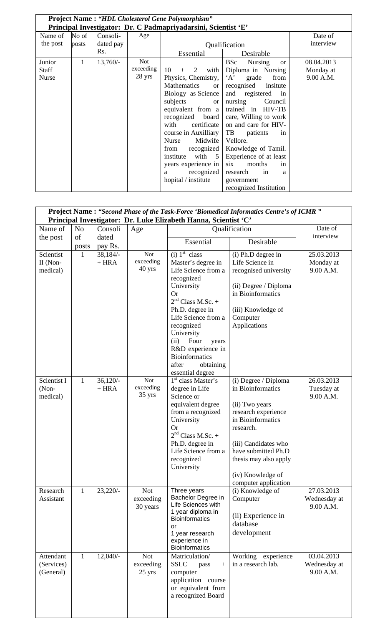| <b>Project Name: "HDL Cholesterol Gene Polymorphism"</b>       |       |            |           |                          |                             |            |  |  |
|----------------------------------------------------------------|-------|------------|-----------|--------------------------|-----------------------------|------------|--|--|
| Principal Investigator: Dr. C Padmapriyadarsini, Scientist 'E' |       |            |           |                          |                             |            |  |  |
| Name of                                                        | No of | Consoli-   | Age       |                          |                             | Date of    |  |  |
| the post                                                       | posts | dated pay  |           |                          | Qualification               | interview  |  |  |
|                                                                |       | Rs.        |           | Essential                | Desirable                   |            |  |  |
| Junior                                                         | 1     | $13,760/-$ | Not       |                          | <b>BSc</b><br>Nursing<br>or | 08.04.2013 |  |  |
| <b>Staff</b>                                                   |       |            | exceeding | with<br>10<br>2<br>$+$   | Diploma in Nursing          | Monday at  |  |  |
| <b>Nurse</b>                                                   |       |            | 28 yrs    | Physics, Chemistry,      | A<br>grade<br>from          | 9.00 A.M.  |  |  |
|                                                                |       |            |           | Mathematics<br><b>or</b> | recognised<br>insitute      |            |  |  |
|                                                                |       |            |           | Biology as Science       | and registered<br>in        |            |  |  |
|                                                                |       |            |           | subjects<br><b>or</b>    | nursing<br>Council          |            |  |  |
|                                                                |       |            |           | equivalent from a        | trained in HIV-TB           |            |  |  |
|                                                                |       |            |           | recognized<br>board      | care, Willing to work       |            |  |  |
|                                                                |       |            |           | certificate<br>with      | on and care for HIV-        |            |  |  |
|                                                                |       |            |           | course in Auxilliary     | TB<br>patients<br>in        |            |  |  |
|                                                                |       |            |           | Midwife<br>Nurse         | Vellore.                    |            |  |  |
|                                                                |       |            |           | recognized<br>from       | Knowledge of Tamil.         |            |  |  |
|                                                                |       |            |           | with 5<br>institute      | Experience of at least      |            |  |  |
|                                                                |       |            |           | years experience in      | six<br>months<br>in         |            |  |  |
|                                                                |       |            |           | recognized<br>а          | research<br>in<br>a         |            |  |  |
|                                                                |       |            |           | hopital / institute      | government                  |            |  |  |
|                                                                |       |            |           |                          | recognized Institution      |            |  |  |

| Project Name: "Second Phase of the Task-Force 'Biomedical Informatics Centre's of ICMR" |                                                                                             |                  |                  |                                         |                          |                         |  |  |  |
|-----------------------------------------------------------------------------------------|---------------------------------------------------------------------------------------------|------------------|------------------|-----------------------------------------|--------------------------|-------------------------|--|--|--|
|                                                                                         | Principal Investigator: Dr. Luke Elizabeth Hanna, Scientist 'C'<br>Date of<br>Qualification |                  |                  |                                         |                          |                         |  |  |  |
| Name of                                                                                 | N <sub>o</sub>                                                                              | Consoli          | Age              |                                         |                          | interview               |  |  |  |
| the post                                                                                | of<br>posts                                                                                 | dated<br>pay Rs. |                  | Essential                               | Desirable                |                         |  |  |  |
| Scientist                                                                               | 1                                                                                           | $38,184/-$       | <b>Not</b>       | $(i)$ 1 <sup>st</sup> class             | (i) Ph.D degree in       | 25.03.2013              |  |  |  |
| II (Non-                                                                                |                                                                                             | $+ HRA$          | exceeding        | Master's degree in                      | Life Science in          | Monday at               |  |  |  |
| medical)                                                                                |                                                                                             |                  | 40 yrs           | Life Science from a                     | recognised university    | 9.00 A.M.               |  |  |  |
|                                                                                         |                                                                                             |                  |                  | recognized                              |                          |                         |  |  |  |
|                                                                                         |                                                                                             |                  |                  | University                              | (ii) Degree / Diploma    |                         |  |  |  |
|                                                                                         |                                                                                             |                  |                  | <b>Or</b>                               | in Bioinformatics        |                         |  |  |  |
|                                                                                         |                                                                                             |                  |                  | $2nd Class M.Sc. +$                     |                          |                         |  |  |  |
|                                                                                         |                                                                                             |                  |                  | Ph.D. degree in<br>Life Science from a  | (iii) Knowledge of       |                         |  |  |  |
|                                                                                         |                                                                                             |                  |                  | recognized                              | Computer<br>Applications |                         |  |  |  |
|                                                                                         |                                                                                             |                  |                  | University                              |                          |                         |  |  |  |
|                                                                                         |                                                                                             |                  |                  | Four<br>(ii)<br>years                   |                          |                         |  |  |  |
|                                                                                         |                                                                                             |                  |                  | R&D experience in                       |                          |                         |  |  |  |
|                                                                                         |                                                                                             |                  |                  | <b>Bioinformatics</b>                   |                          |                         |  |  |  |
|                                                                                         |                                                                                             |                  |                  | after<br>obtaining                      |                          |                         |  |  |  |
|                                                                                         |                                                                                             |                  |                  | essential degree                        |                          |                         |  |  |  |
| Scientist I                                                                             | $\mathbf{1}$                                                                                | $36,120/-$       | Not<br>exceeding | 1 <sup>st</sup> class Master's          | (i) Degree / Diploma     | 26.03.2013              |  |  |  |
| (Non-<br>medical)                                                                       |                                                                                             | $+ HRA$          | 35 yrs           | degree in Life<br>Science or            | in Bioinformatics        | Tuesday at<br>9.00 A.M. |  |  |  |
|                                                                                         |                                                                                             |                  |                  | equivalent degree                       | (ii) Two years           |                         |  |  |  |
|                                                                                         |                                                                                             |                  |                  | from a recognized                       | research experience      |                         |  |  |  |
|                                                                                         |                                                                                             |                  |                  | University                              | in Bioinformatics        |                         |  |  |  |
|                                                                                         |                                                                                             |                  |                  | <b>Or</b>                               | research.                |                         |  |  |  |
|                                                                                         |                                                                                             |                  |                  | $2nd Class M.Sc. +$                     |                          |                         |  |  |  |
|                                                                                         |                                                                                             |                  |                  | Ph.D. degree in                         | (iii) Candidates who     |                         |  |  |  |
|                                                                                         |                                                                                             |                  |                  | Life Science from a                     | have submitted Ph.D      |                         |  |  |  |
|                                                                                         |                                                                                             |                  |                  | recognized<br>University                | thesis may also apply    |                         |  |  |  |
|                                                                                         |                                                                                             |                  |                  |                                         | (iv) Knowledge of        |                         |  |  |  |
|                                                                                         |                                                                                             |                  |                  |                                         | computer application     |                         |  |  |  |
| Research                                                                                | $\mathbf{1}$                                                                                | $23,220/-$       | <b>Not</b>       | Three years                             | (i) Knowledge of         | 27.03.2013              |  |  |  |
| Assistant                                                                               |                                                                                             |                  | exceeding        | Bachelor Degree in                      | Computer                 | Wednesday at            |  |  |  |
|                                                                                         |                                                                                             |                  | 30 years         | Life Sciences with<br>1 year diploma in |                          | 9.00 A.M.               |  |  |  |
|                                                                                         |                                                                                             |                  |                  | <b>Bioinformatics</b>                   | (ii) Experience in       |                         |  |  |  |
|                                                                                         |                                                                                             |                  |                  | <b>or</b>                               | database                 |                         |  |  |  |
|                                                                                         |                                                                                             |                  |                  | 1 year research                         | development              |                         |  |  |  |
|                                                                                         |                                                                                             |                  |                  | experience in<br><b>Bioinformatics</b>  |                          |                         |  |  |  |
| Attendant                                                                               | $\mathbf{1}$                                                                                | $12,040/-$       | <b>Not</b>       | Matriculation/                          | Working experience       | 03.04.2013              |  |  |  |
| (Services)                                                                              |                                                                                             |                  | exceeding        | <b>SSLC</b><br>pass<br>$+$              | in a research lab.       | Wednesday at            |  |  |  |
| (General)                                                                               |                                                                                             |                  | 25 yrs           | computer                                |                          | 9.00 A.M.               |  |  |  |
|                                                                                         |                                                                                             |                  |                  | application course                      |                          |                         |  |  |  |
|                                                                                         |                                                                                             |                  |                  | or equivalent from                      |                          |                         |  |  |  |
|                                                                                         |                                                                                             |                  |                  | a recognized Board                      |                          |                         |  |  |  |
|                                                                                         |                                                                                             |                  |                  |                                         |                          |                         |  |  |  |
|                                                                                         |                                                                                             |                  |                  |                                         |                          |                         |  |  |  |